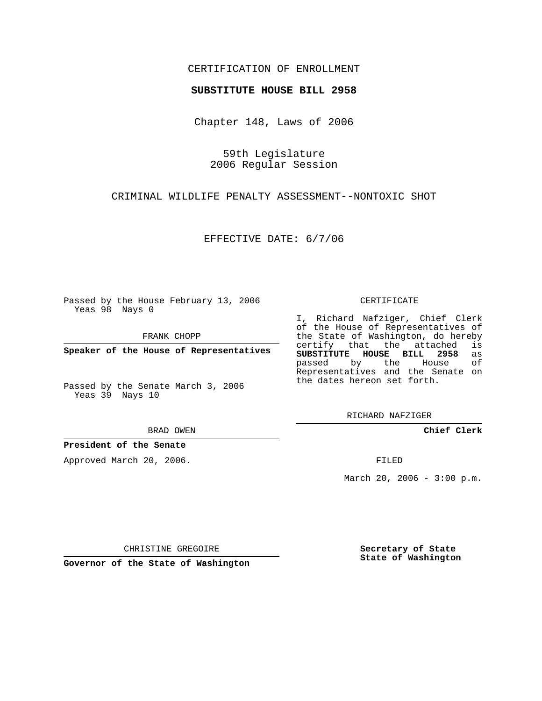## CERTIFICATION OF ENROLLMENT

## **SUBSTITUTE HOUSE BILL 2958**

Chapter 148, Laws of 2006

59th Legislature 2006 Regular Session

CRIMINAL WILDLIFE PENALTY ASSESSMENT--NONTOXIC SHOT

EFFECTIVE DATE: 6/7/06

Passed by the House February 13, 2006 Yeas 98 Nays 0

FRANK CHOPP

**Speaker of the House of Representatives**

Passed by the Senate March 3, 2006 Yeas 39 Nays 10

BRAD OWEN

**President of the Senate**

Approved March 20, 2006.

CERTIFICATE

I, Richard Nafziger, Chief Clerk of the House of Representatives of the State of Washington, do hereby<br>certify that the attached is certify that the attached **SUBSTITUTE HOUSE BILL 2958** as passed by the House Representatives and the Senate on the dates hereon set forth.

RICHARD NAFZIGER

**Chief Clerk**

FILED

March 20, 2006 -  $3:00$  p.m.

CHRISTINE GREGOIRE

**Governor of the State of Washington**

**Secretary of State State of Washington**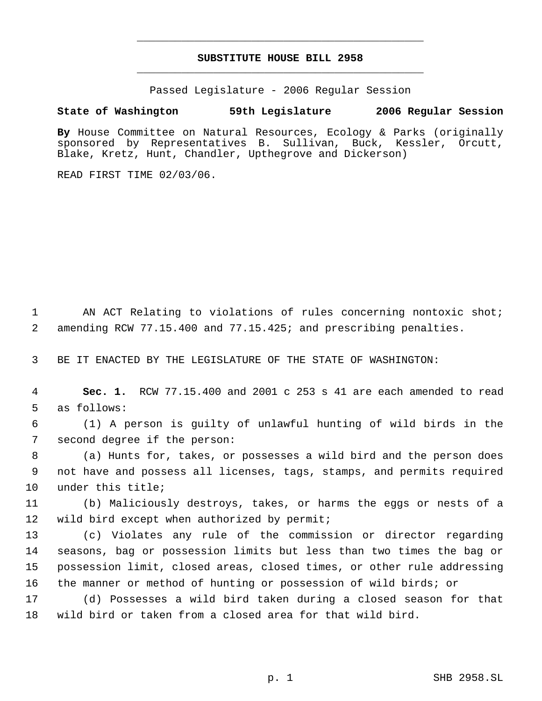## **SUBSTITUTE HOUSE BILL 2958** \_\_\_\_\_\_\_\_\_\_\_\_\_\_\_\_\_\_\_\_\_\_\_\_\_\_\_\_\_\_\_\_\_\_\_\_\_\_\_\_\_\_\_\_\_

\_\_\_\_\_\_\_\_\_\_\_\_\_\_\_\_\_\_\_\_\_\_\_\_\_\_\_\_\_\_\_\_\_\_\_\_\_\_\_\_\_\_\_\_\_

Passed Legislature - 2006 Regular Session

## **State of Washington 59th Legislature 2006 Regular Session**

**By** House Committee on Natural Resources, Ecology & Parks (originally sponsored by Representatives B. Sullivan, Buck, Kessler, Orcutt, Blake, Kretz, Hunt, Chandler, Upthegrove and Dickerson)

READ FIRST TIME 02/03/06.

 AN ACT Relating to violations of rules concerning nontoxic shot; amending RCW 77.15.400 and 77.15.425; and prescribing penalties.

BE IT ENACTED BY THE LEGISLATURE OF THE STATE OF WASHINGTON:

 **Sec. 1.** RCW 77.15.400 and 2001 c 253 s 41 are each amended to read as follows:

 (1) A person is guilty of unlawful hunting of wild birds in the second degree if the person:

 (a) Hunts for, takes, or possesses a wild bird and the person does not have and possess all licenses, tags, stamps, and permits required under this title;

 (b) Maliciously destroys, takes, or harms the eggs or nests of a 12 wild bird except when authorized by permit;

 (c) Violates any rule of the commission or director regarding seasons, bag or possession limits but less than two times the bag or possession limit, closed areas, closed times, or other rule addressing the manner or method of hunting or possession of wild birds; or

 (d) Possesses a wild bird taken during a closed season for that wild bird or taken from a closed area for that wild bird.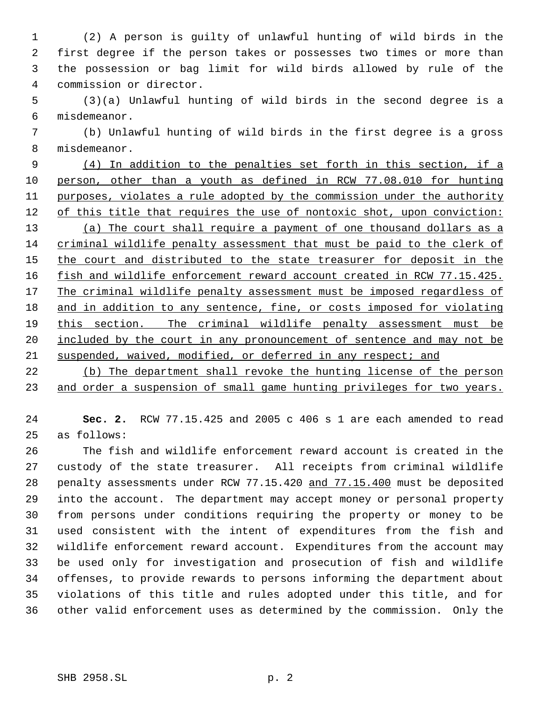(2) A person is guilty of unlawful hunting of wild birds in the first degree if the person takes or possesses two times or more than the possession or bag limit for wild birds allowed by rule of the commission or director.

 (3)(a) Unlawful hunting of wild birds in the second degree is a misdemeanor.

 (b) Unlawful hunting of wild birds in the first degree is a gross misdemeanor.

 (4) In addition to the penalties set forth in this section, if a person, other than a youth as defined in RCW 77.08.010 for hunting purposes, violates a rule adopted by the commission under the authority 12 of this title that requires the use of nontoxic shot, upon conviction: (a) The court shall require a payment of one thousand dollars as a criminal wildlife penalty assessment that must be paid to the clerk of 15 the court and distributed to the state treasurer for deposit in the 16 fish and wildlife enforcement reward account created in RCW 77.15.425. 17 The criminal wildlife penalty assessment must be imposed regardless of 18 and in addition to any sentence, fine, or costs imposed for violating this section. The criminal wildlife penalty assessment must be 20 included by the court in any pronouncement of sentence and may not be suspended, waived, modified, or deferred in any respect; and

 (b) The department shall revoke the hunting license of the person 23 and order a suspension of small game hunting privileges for two years.

 **Sec. 2.** RCW 77.15.425 and 2005 c 406 s 1 are each amended to read as follows:

 The fish and wildlife enforcement reward account is created in the custody of the state treasurer. All receipts from criminal wildlife penalty assessments under RCW 77.15.420 and 77.15.400 must be deposited into the account. The department may accept money or personal property from persons under conditions requiring the property or money to be used consistent with the intent of expenditures from the fish and wildlife enforcement reward account. Expenditures from the account may be used only for investigation and prosecution of fish and wildlife offenses, to provide rewards to persons informing the department about violations of this title and rules adopted under this title, and for other valid enforcement uses as determined by the commission. Only the